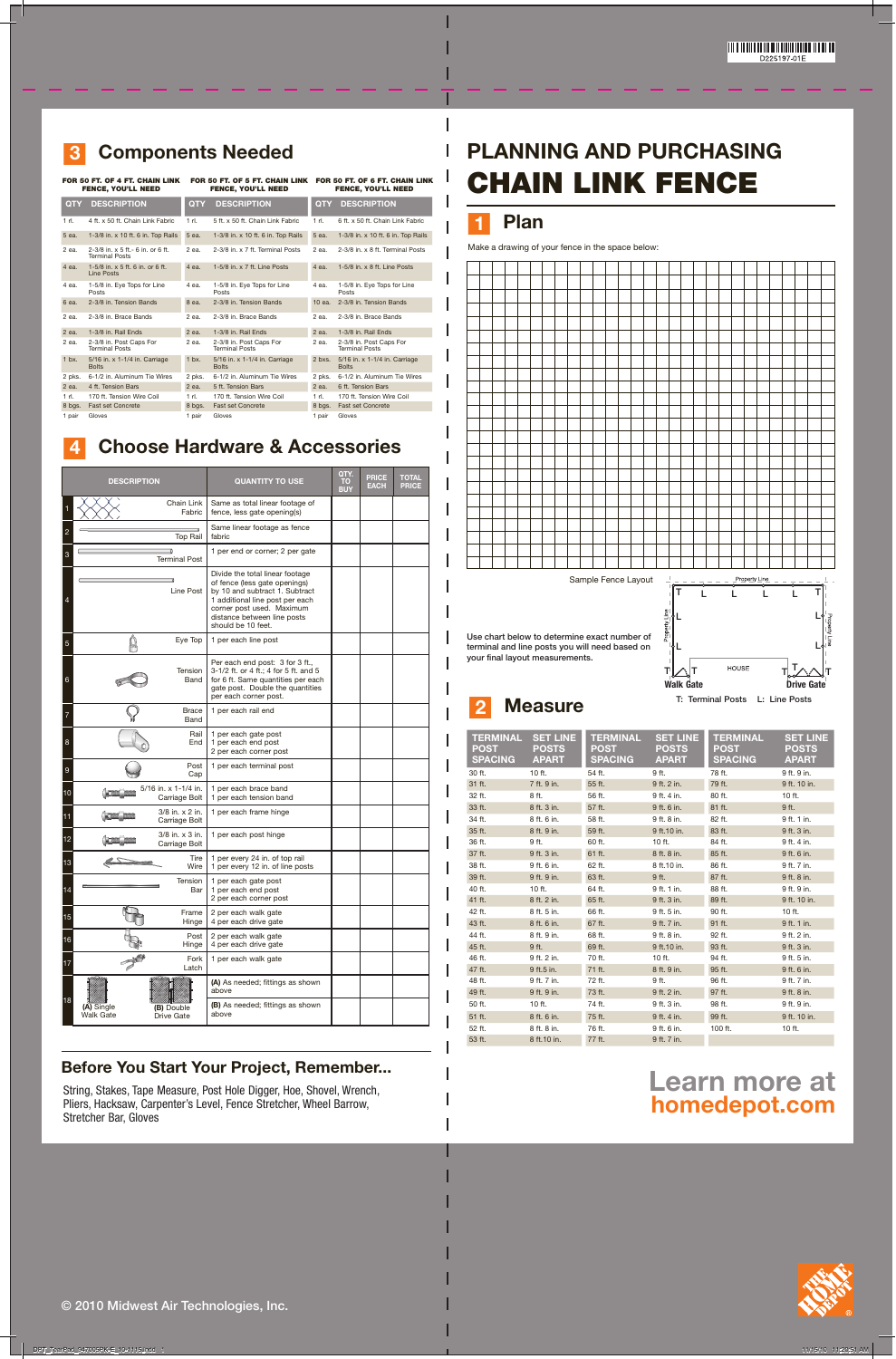# **Learn more at homedepot.com**



 $\overline{1}$ 

Make a drawing of your fence in the space below:

### ¢**<sup>3</sup> Components Needed**

| <b>TERMINAL SET LINE</b><br><b>POST</b><br><b>SPACING</b> | <b>POSTS</b><br><b>APART</b> | <b>TERMINAL</b><br><b>POST</b><br><b>SPACING</b> | <b>SET LINE</b><br><b>POSTS</b><br><b>APART</b> | <b>TERMINAL</b><br><b>POST</b><br><b>SPACING</b> | <b>SET LINE</b><br><b>POSTS</b><br><b>APART</b> |
|-----------------------------------------------------------|------------------------------|--------------------------------------------------|-------------------------------------------------|--------------------------------------------------|-------------------------------------------------|
| 30 ft.                                                    | 10 ft.                       | 54 ft.                                           | 9 ft.                                           | 78 ft.                                           | 9 ft. 9 in.                                     |
| 31 ft.                                                    | 7 ft. 9 in.                  | 55 ft.                                           | 9 ft. 2 in.                                     | 79 ft.                                           | 9 ft. 10 in.                                    |
| 32 ft.                                                    | 8 ft.                        | 56 ft.                                           | 9 ft. 4 in.                                     | 80 ft.                                           | 10 ft.                                          |
| 33 ft.                                                    | 8 ft. 3 in.                  | 57 ft.                                           | 9 ft. 6 in.                                     | 81 ft.                                           | 9 ft.                                           |
| 34 ft.                                                    | 8 ft. 6 in.                  | 58 ft.                                           | 9 ft. 8 in.                                     | 82 ft.                                           | 9 ft. 1 in.                                     |
| 35 ft.                                                    | 8 ft. 9 in.                  | 59 ft.                                           | 9 ft.10 in.                                     | 83 ft.                                           | 9 ft. 3 in.                                     |
| 36 ft.                                                    | 9 ft.                        | 60 ft.                                           | $10$ ft.                                        | 84 ft.                                           | 9 ft. 4 in.                                     |
| 37 ft.                                                    | 9 ft. 3 in.                  | 61 ft.                                           | 8 ft. 8 in.                                     | 85 ft.                                           | 9 ft. 6 in.                                     |
| 38 ft.                                                    | 9 ft. 6 in.                  | 62 ft.                                           | 8 ft.10 in.                                     | 86 ft.                                           | 9 ft. 7 in.                                     |
| 39 ft.                                                    | 9 ft. 9 in.                  | 63 ft.                                           | 9 ft.                                           | 87 ft.                                           | 9 ft. 8 in.                                     |
| 40 ft.                                                    | 10 ft.                       | 64 ft.                                           | 9 ft. 1 in.                                     | 88 ft.                                           | 9 ft. 9 in.                                     |
| 41 ft.                                                    | 8 ft. 2 in.                  | 65 ft.                                           | 9 ft. 3 in.                                     | 89 ft.                                           | 9 ft. 10 in.                                    |
| 42 ft.                                                    | 8 ft. 5 in.                  | 66 ft.                                           | 9 ft. 5 in.                                     | 90 ft.                                           | $10$ ft.                                        |
| 43 ft.                                                    | 8 ft. 6 in.                  | 67 ft.                                           | 9 ft. 7 in.                                     | 91 ft.                                           | 9 ft. 1 in.                                     |
| 44 ft.                                                    | 8 ft. 9 in.                  | 68 ft.                                           | 9 ft. 8 in.                                     | 92 ft.                                           | 9 ft. 2 in.                                     |
| 45 ft.                                                    | 9 ft.                        | 69 ft.                                           | 9 ft.10 in.                                     | 93 ft.                                           | 9 ft. 3 in.                                     |
| 46 ft.                                                    | 9 ft. 2 in.                  | 70 ft.                                           | 10 ft.                                          | 94 ft.                                           | 9 ft. 5 in.                                     |
| 47 ft.                                                    | 9 ft.5 in.                   | 71 ft.                                           | 8 ft. 9 in.                                     | 95 ft.                                           | 9 ft. 6 in.                                     |
| 48 ft.                                                    | 9 ft. 7 in.                  | 72 ft.                                           | 9 ft.                                           | 96 ft.                                           | 9 ft. 7 in.                                     |
| 49 ft.                                                    | 9 ft. 9 in.                  | 73 ft.                                           | 9 ft. 2 in.                                     | 97 ft.                                           | 9 ft. 8 in.                                     |
| 50 ft.                                                    | $10$ ft.                     | 74 ft.                                           | 9 ft. 3 in.                                     | 98 ft.                                           | 9 ft. 9 in.                                     |
| 51 ft.                                                    | 8 ft. 6 in.                  | 75 ft.                                           | 9 ft. 4 in.                                     | 99 ft.                                           | 9 ft. 10 in.                                    |
| 52 ft.                                                    | 8 ft. 8 in.                  | 76 ft.                                           | 9 ft. 6 in.                                     | 100 ft.                                          | 10 ft.                                          |
| 53 ft.                                                    | 8 ft.10 in.                  | 77 ft.                                           | 9 ft. 7 in.                                     |                                                  |                                                 |



| <b>DESCRIPTION</b> |                                |                                             | <b>QUANTITY TO USE</b>                                                                                                                                                                                                  | QTY.<br><b>TO</b><br>BUY | PRICE<br><b>EACH</b> | TOTAL<br><b>PRICE</b> |
|--------------------|--------------------------------|---------------------------------------------|-------------------------------------------------------------------------------------------------------------------------------------------------------------------------------------------------------------------------|--------------------------|----------------------|-----------------------|
|                    |                                | Chain Link<br>Fabric                        | Same as total linear footage of<br>fence, less gate opening(s)                                                                                                                                                          |                          |                      |                       |
| $\overline{c}$     |                                | $\overline{\phantom{a}}$<br><b>Top Rail</b> | Same linear footage as fence<br>fabric                                                                                                                                                                                  |                          |                      |                       |
| 3                  |                                | <b>Terminal Post</b>                        | 1 per end or corner; 2 per gate                                                                                                                                                                                         |                          |                      |                       |
| $\overline{4}$     |                                | Line Post                                   | Divide the total linear footage<br>of fence (less gate openings)<br>by 10 and subtract 1. Subtract<br>1 additional line post per each<br>corner post used. Maximum<br>distance between line posts<br>should be 10 feet. |                          |                      |                       |
| 5                  | Q                              | Eye Top                                     | 1 per each line post                                                                                                                                                                                                    |                          |                      |                       |
| 6                  |                                | Tension<br>Band                             | Per each end post: 3 for 3 ft.,<br>3-1/2 ft. or 4 ft.; 4 for 5 ft. and 5<br>for 6 ft. Same quantities per each<br>gate post. Double the quantities<br>per each corner post.                                             |                          |                      |                       |
| 7                  |                                | <b>Brace</b><br>Band                        | 1 per each rail end                                                                                                                                                                                                     |                          |                      |                       |
| 8                  |                                | Rail<br>End                                 | 1 per each gate post<br>1 per each end post<br>2 per each corner post                                                                                                                                                   |                          |                      |                       |
| 9                  |                                | Post<br>Cap                                 | 1 per each terminal post                                                                                                                                                                                                |                          |                      |                       |
| 10                 |                                | 5/16 in. x 1-1/4 in.<br>Carriage Bolt       | 1 per each brace band<br>1 per each tension band                                                                                                                                                                        |                          |                      |                       |
| 11                 |                                | 3/8 in. x 2 in.<br>Carriage Bolt            | 1 per each frame hinge                                                                                                                                                                                                  |                          |                      |                       |
| 12                 |                                | 3/8 in. x 3 in.<br>Carriage Bolt            | 1 per each post hinge                                                                                                                                                                                                   |                          |                      |                       |
| 13                 |                                | Tire<br>Wire                                | 1 per every 24 in. of top rail<br>1 per every 12 in. of line posts                                                                                                                                                      |                          |                      |                       |
| 14                 |                                | Tension<br>Bar                              | 1 per each gate post<br>1 per each end post<br>2 per each corner post                                                                                                                                                   |                          |                      |                       |
| 15                 |                                | Frame<br>Hinge                              | 2 per each walk gate<br>4 per each drive gate                                                                                                                                                                           |                          |                      |                       |
| 16                 |                                | Post<br>Hinge                               | 2 per each walk gate<br>4 per each drive gate                                                                                                                                                                           |                          |                      |                       |
| 17                 |                                | Fork<br>Latch                               | 1 per each walk gate                                                                                                                                                                                                    |                          |                      |                       |
| 18                 | (A) Single<br><b>Walk Gate</b> | (B) Double<br><b>Drive Gate</b>             | (A) As needed; fittings as shown<br>above<br>(B) As needed; fittings as shown<br>above                                                                                                                                  |                          |                      |                       |

### **Before You Start Your Project, Remember...**

String, Stakes, Tape Measure, Post Hole Digger, Hoe, Shovel, Wrench, Pliers, Hacksaw, Carpenter's Level, Fence Stretcher, Wheel Barrow, Stretcher Bar, Gloves

### ¢**<sup>4</sup> Choose Hardware & Accessories**

© 2010 Midwest Air Technologies, Inc.



| FOR 50 FT. OF 4 FT. CHAIN LINK<br><b>FENCE, YOU'LL NEED</b> |                                                             | FOR 50 FT. OF 5 FT. CHAIN LINK<br><b>FENCE, YOU'LL NEED</b> |                                                  | <b>FOR 50 FT. OF 6 FT. CHAIN LINK</b><br><b>FENCE, YOU'LL NEED</b> |                                                  |  |
|-------------------------------------------------------------|-------------------------------------------------------------|-------------------------------------------------------------|--------------------------------------------------|--------------------------------------------------------------------|--------------------------------------------------|--|
| <b>QTY</b>                                                  | <b>DESCRIPTION</b>                                          | <b>OTY</b>                                                  | <b>DESCRIPTION</b>                               | <b>QTY</b>                                                         | <b>DESCRIPTION</b>                               |  |
| $1$ rl.                                                     | 4 ft. x 50 ft. Chain Link Fabric                            | $1$ rl.                                                     | 5 ft. x 50 ft. Chain Link Fabric                 | $1$ rl.                                                            | 6 ft. x 50 ft. Chain Link Fabric                 |  |
| 5 ea.                                                       | 1-3/8 in. x 10 ft. 6 in. Top Rails                          | 5 ea.                                                       | 1-3/8 in. x 10 ft. 6 in. Top Rails               | 5 ea.                                                              | 1-3/8 in. x 10 ft. 6 in. Top Rails               |  |
| 2 ea.                                                       | 2-3/8 in. x 5 ft. - 6 in. or 6 ft.<br><b>Terminal Posts</b> | 2 ea.                                                       | 2-3/8 in. x 7 ft. Terminal Posts                 | 2 ea.                                                              | 2-3/8 in. x 8 ft. Terminal Posts                 |  |
| 4 ea.                                                       | 1-5/8 in. $x$ 5 ft. 6 in. or 6 ft.<br>Line Posts            | 4 ea.                                                       | 1-5/8 in. x 7 ft. Line Posts                     | 4 ea.                                                              | 1-5/8 in. x 8 ft. Line Posts                     |  |
| 4 ea.                                                       | 1-5/8 in. Eye Tops for Line<br>Posts                        | 4 ea.                                                       | 1-5/8 in. Eye Tops for Line<br>Posts             | 4 ea.                                                              | 1-5/8 in. Eye Tops for Line<br>Posts             |  |
| 6 ea.                                                       | 2-3/8 in. Tension Bands                                     | 8 ea.                                                       | 2-3/8 in. Tension Bands                          | $10$ ea.                                                           | 2-3/8 in. Tension Bands                          |  |
| 2 ea.                                                       | 2-3/8 in. Brace Bands                                       | 2 ea.                                                       | 2-3/8 in. Brace Bands                            | 2 еа.                                                              | 2-3/8 in. Brace Bands                            |  |
| 2 ea.                                                       | 1-3/8 in. Rail Ends                                         | 2 ea.                                                       | 1-3/8 in. Rail Ends                              | $2$ ea.                                                            | 1-3/8 in. Rail Ends                              |  |
| 2 ea.                                                       | 2-3/8 in. Post Caps For<br><b>Terminal Posts</b>            | 2 ea.                                                       | 2-3/8 in. Post Caps For<br><b>Terminal Posts</b> | 2 ea.                                                              | 2-3/8 in. Post Caps For<br><b>Terminal Posts</b> |  |
| 1 <sub>bx</sub>                                             | 5/16 in. x 1-1/4 in. Carriage<br><b>Bolts</b>               | 1 <sub>bx</sub>                                             | 5/16 in. x 1-1/4 in. Carriage<br><b>Bolts</b>    | 2 bxs.                                                             | 5/16 in. x 1-1/4 in. Carriage<br><b>Bolts</b>    |  |
| 2 pks.                                                      | 6-1/2 in. Aluminum Tie Wires                                | 2 pks.                                                      | 6-1/2 in. Aluminum Tie Wires                     | 2 pks.                                                             | 6-1/2 in. Aluminum Tie Wires                     |  |
| 2 ea.                                                       | 4 ft. Tension Bars                                          | 2 ea.                                                       | 5 ft. Tension Bars                               | $2$ ea.                                                            | 6 ft. Tension Bars                               |  |
| $1$ rl.                                                     | 170 ft. Tension Wire Coil                                   | 1 rl.                                                       | 170 ft. Tension Wire Coil                        | $1$ rl.                                                            | 170 ft. Tension Wire Coil                        |  |
| 8 bgs.                                                      | <b>Fast set Concrete</b>                                    | 8 bgs.                                                      | <b>Fast set Concrete</b>                         | 8 bgs.                                                             | <b>Fast set Concrete</b>                         |  |
| 1 pair                                                      | Gloves                                                      | 1 pair                                                      | Gloves                                           | 1 pair                                                             | Gloves                                           |  |

# **PLANNING AND PURCHASING** CHAIN LINK FENCE

DPT\_TearPad\_947005PK-E\_10-1115.indd 1 11/15/10 11:20:51 AM